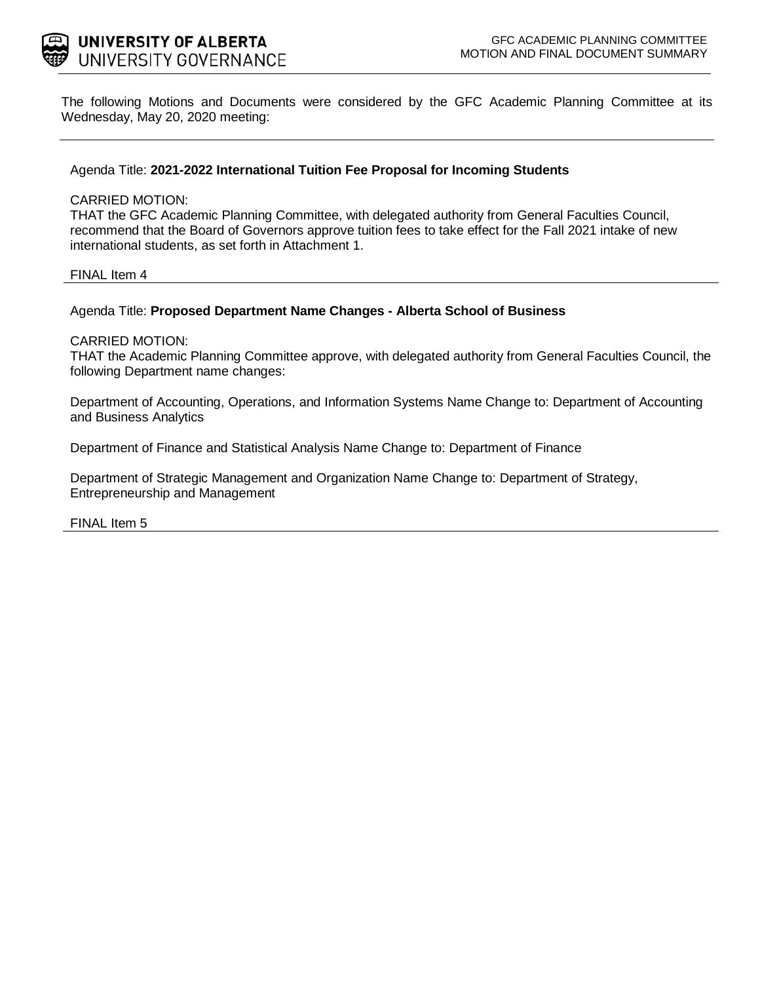

The following Motions and Documents were considered by the GFC Academic Planning Committee at its Wednesday, May 20, 2020 meeting:

## Agenda Title: **2021-2022 International Tuition Fee Proposal for Incoming Students**

#### CARRIED MOTION:

THAT the GFC Academic Planning Committee, with delegated authority from General Faculties Council, recommend that the Board of Governors approve tuition fees to take effect for the Fall 2021 intake of new international students, as set forth in Attachment 1.

FINAL Item 4

### Agenda Title: **Proposed Department Name Changes - Alberta School of Business**

CARRIED MOTION:

THAT the Academic Planning Committee approve, with delegated authority from General Faculties Council, the following Department name changes:

Department of Accounting, Operations, and Information Systems Name Change to: Department of Accounting and Business Analytics

Department of Finance and Statistical Analysis Name Change to: Department of Finance

Department of Strategic Management and Organization Name Change to: Department of Strategy, Entrepreneurship and Management

FINAL Item 5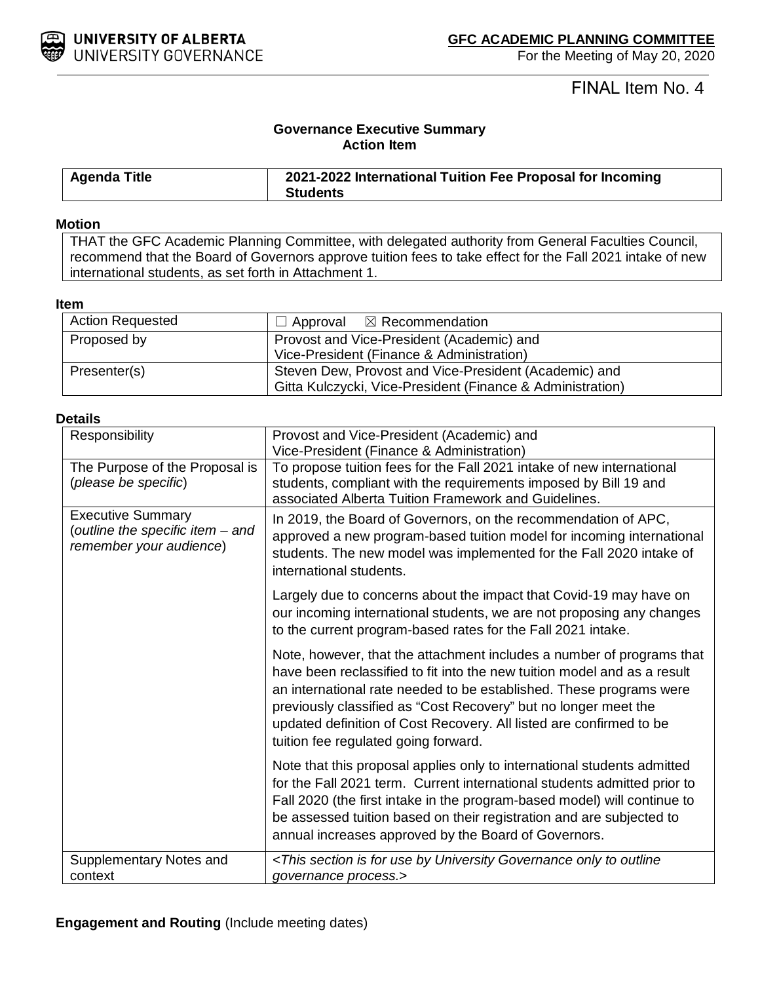

For the Meeting of May 20, 2020

# FINAL Item No. 4

## **Governance Executive Summary Action Item**

| <b>Agenda Title</b> | 2021-2022 International Tuition Fee Proposal for Incoming |
|---------------------|-----------------------------------------------------------|
|                     | <b>Students</b>                                           |

## **Motion**

THAT the GFC Academic Planning Committee, with delegated authority from General Faculties Council, recommend that the Board of Governors approve tuition fees to take effect for the Fall 2021 intake of new international students, as set forth in Attachment 1.

#### **Item**

| <b>Action Requested</b> | $\Box$ Approval $\boxtimes$ Recommendation                 |  |  |
|-------------------------|------------------------------------------------------------|--|--|
| Proposed by             | Provost and Vice-President (Academic) and                  |  |  |
|                         | Vice-President (Finance & Administration)                  |  |  |
| Presenter(s)            | Steven Dew, Provost and Vice-President (Academic) and      |  |  |
|                         | Gitta Kulczycki, Vice-President (Finance & Administration) |  |  |

## **Details**

| Responsibility                                                                          | Provost and Vice-President (Academic) and<br>Vice-President (Finance & Administration)                                                                                                                                                                                                                                                                                                                     |
|-----------------------------------------------------------------------------------------|------------------------------------------------------------------------------------------------------------------------------------------------------------------------------------------------------------------------------------------------------------------------------------------------------------------------------------------------------------------------------------------------------------|
| The Purpose of the Proposal is<br>(please be specific)                                  | To propose tuition fees for the Fall 2021 intake of new international<br>students, compliant with the requirements imposed by Bill 19 and<br>associated Alberta Tuition Framework and Guidelines.                                                                                                                                                                                                          |
| <b>Executive Summary</b><br>(outline the specific item - and<br>remember your audience) | In 2019, the Board of Governors, on the recommendation of APC,<br>approved a new program-based tuition model for incoming international<br>students. The new model was implemented for the Fall 2020 intake of<br>international students.                                                                                                                                                                  |
|                                                                                         | Largely due to concerns about the impact that Covid-19 may have on<br>our incoming international students, we are not proposing any changes<br>to the current program-based rates for the Fall 2021 intake.                                                                                                                                                                                                |
|                                                                                         | Note, however, that the attachment includes a number of programs that<br>have been reclassified to fit into the new tuition model and as a result<br>an international rate needed to be established. These programs were<br>previously classified as "Cost Recovery" but no longer meet the<br>updated definition of Cost Recovery. All listed are confirmed to be<br>tuition fee regulated going forward. |
|                                                                                         | Note that this proposal applies only to international students admitted<br>for the Fall 2021 term. Current international students admitted prior to<br>Fall 2020 (the first intake in the program-based model) will continue to<br>be assessed tuition based on their registration and are subjected to<br>annual increases approved by the Board of Governors.                                            |
| Supplementary Notes and<br>context                                                      | <this by="" for="" governance="" is="" only="" outline<br="" section="" to="" university="" use="">governance process.&gt;</this>                                                                                                                                                                                                                                                                          |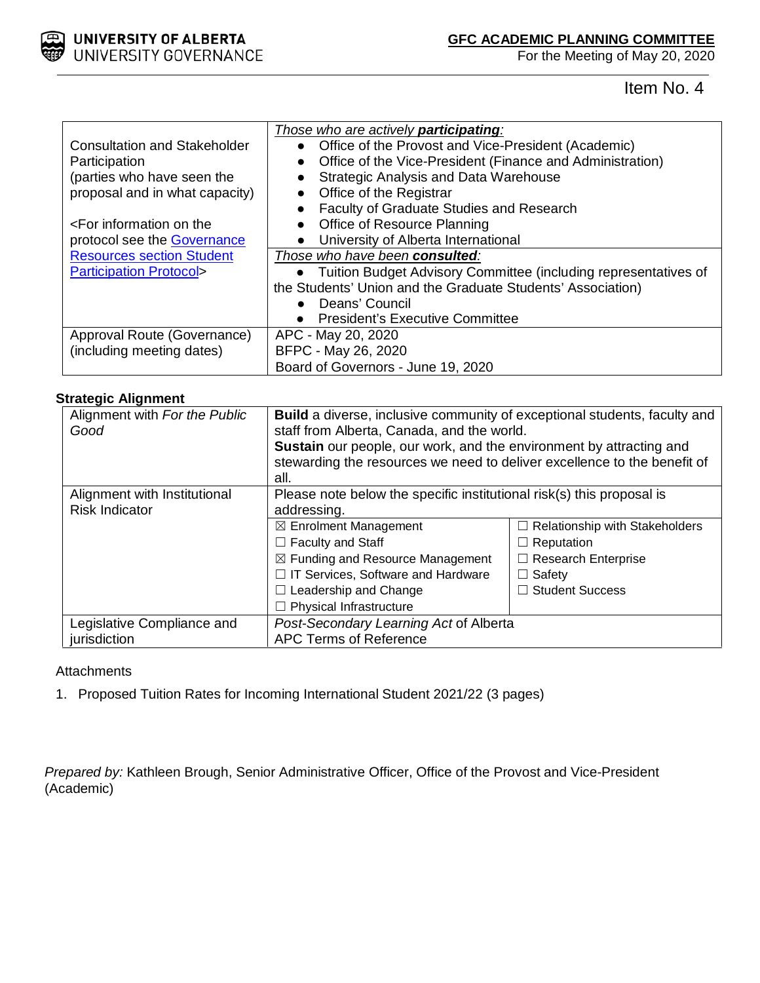

For the Meeting of May 20, 2020

Item No. 4

|                                                                                      | Those who are actively <b>participating</b> :                          |
|--------------------------------------------------------------------------------------|------------------------------------------------------------------------|
| <b>Consultation and Stakeholder</b>                                                  | Office of the Provost and Vice-President (Academic)<br>$\bullet$       |
| Participation                                                                        | Office of the Vice-President (Finance and Administration)<br>$\bullet$ |
| (parties who have seen the                                                           | <b>Strategic Analysis and Data Warehouse</b>                           |
| proposal and in what capacity)                                                       | Office of the Registrar                                                |
|                                                                                      | Faculty of Graduate Studies and Research                               |
| <for information="" on="" th="" the<=""><th>• Office of Resource Planning</th></for> | • Office of Resource Planning                                          |
| protocol see the Governance                                                          | University of Alberta International                                    |
|                                                                                      |                                                                        |
| <b>Resources section Student</b>                                                     | Those who have been consulted:                                         |
| <b>Participation Protocol&gt;</b>                                                    | • Tuition Budget Advisory Committee (including representatives of      |
|                                                                                      | the Students' Union and the Graduate Students' Association)            |
|                                                                                      | Deans' Council<br>$\bullet$                                            |
|                                                                                      | • President's Executive Committee                                      |
| Approval Route (Governance)                                                          | APC - May 20, 2020                                                     |
| (including meeting dates)                                                            | BFPC - May 26, 2020                                                    |

## **Strategic Alignment**

| Alignment with For the Public<br>Good                 | <b>Build</b> a diverse, inclusive community of exceptional students, faculty and<br>staff from Alberta, Canada, and the world.<br><b>Sustain</b> our people, our work, and the environment by attracting and<br>stewarding the resources we need to deliver excellence to the benefit of<br>all. |                                       |  |
|-------------------------------------------------------|--------------------------------------------------------------------------------------------------------------------------------------------------------------------------------------------------------------------------------------------------------------------------------------------------|---------------------------------------|--|
| Alignment with Institutional<br><b>Risk Indicator</b> | Please note below the specific institutional risk(s) this proposal is<br>addressing.                                                                                                                                                                                                             |                                       |  |
|                                                       | $\boxtimes$ Enrolment Management                                                                                                                                                                                                                                                                 | $\Box$ Relationship with Stakeholders |  |
|                                                       | $\Box$ Faculty and Staff                                                                                                                                                                                                                                                                         | $\Box$ Reputation                     |  |
|                                                       | $\boxtimes$ Funding and Resource Management<br>$\Box$ Research Enterprise                                                                                                                                                                                                                        |                                       |  |
|                                                       | $\Box$ IT Services, Software and Hardware<br>$\Box$ Safety                                                                                                                                                                                                                                       |                                       |  |
|                                                       | $\Box$ Leadership and Change                                                                                                                                                                                                                                                                     | $\Box$ Student Success                |  |
|                                                       | $\Box$ Physical Infrastructure                                                                                                                                                                                                                                                                   |                                       |  |
| Legislative Compliance and                            | Post-Secondary Learning Act of Alberta                                                                                                                                                                                                                                                           |                                       |  |
| jurisdiction                                          | <b>APC Terms of Reference</b>                                                                                                                                                                                                                                                                    |                                       |  |

## **Attachments**

1. Proposed Tuition Rates for Incoming International Student 2021/22 (3 pages)

*Prepared by:* Kathleen Brough, Senior Administrative Officer, Office of the Provost and Vice-President (Academic)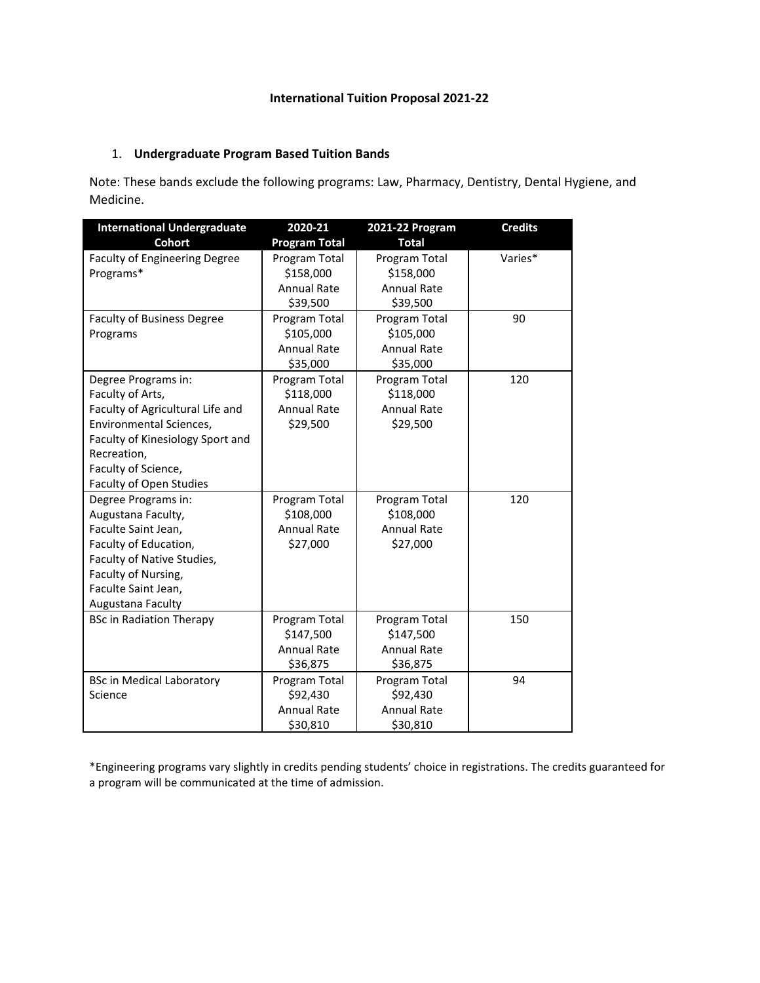### 1. **Undergraduate Program Based Tuition Bands**

Note: These bands exclude the following programs: Law, Pharmacy, Dentistry, Dental Hygiene, and Medicine.

| <b>International Undergraduate</b><br><b>Cohort</b> | 2020-21<br><b>Program Total</b> | 2021-22 Program<br><b>Total</b> | <b>Credits</b> |
|-----------------------------------------------------|---------------------------------|---------------------------------|----------------|
| <b>Faculty of Engineering Degree</b>                | Program Total                   | Program Total                   | Varies*        |
| Programs*                                           | \$158,000                       | \$158,000                       |                |
|                                                     | <b>Annual Rate</b>              | <b>Annual Rate</b>              |                |
|                                                     | \$39,500                        | \$39,500                        |                |
| <b>Faculty of Business Degree</b>                   | Program Total                   | Program Total                   | 90             |
| Programs                                            | \$105,000                       | \$105,000                       |                |
|                                                     | <b>Annual Rate</b>              | <b>Annual Rate</b>              |                |
|                                                     | \$35,000                        | \$35,000                        |                |
| Degree Programs in:                                 | Program Total                   | Program Total                   | 120            |
| Faculty of Arts,                                    | \$118,000                       | \$118,000                       |                |
| Faculty of Agricultural Life and                    | <b>Annual Rate</b>              | <b>Annual Rate</b>              |                |
| <b>Environmental Sciences,</b>                      | \$29,500                        | \$29,500                        |                |
| Faculty of Kinesiology Sport and                    |                                 |                                 |                |
| Recreation,                                         |                                 |                                 |                |
| Faculty of Science,                                 |                                 |                                 |                |
| Faculty of Open Studies                             |                                 |                                 |                |
| Degree Programs in:                                 | Program Total                   | Program Total                   | 120            |
| Augustana Faculty,                                  | \$108,000                       | \$108,000                       |                |
| Faculte Saint Jean,                                 | <b>Annual Rate</b>              | <b>Annual Rate</b>              |                |
| Faculty of Education,                               | \$27,000                        | \$27,000                        |                |
| Faculty of Native Studies,                          |                                 |                                 |                |
| Faculty of Nursing,                                 |                                 |                                 |                |
| Faculte Saint Jean,                                 |                                 |                                 |                |
| Augustana Faculty                                   |                                 |                                 |                |
| <b>BSc in Radiation Therapy</b>                     | Program Total                   | Program Total                   | 150            |
|                                                     | \$147,500                       | \$147,500                       |                |
|                                                     | <b>Annual Rate</b>              | <b>Annual Rate</b>              |                |
|                                                     | \$36,875                        | \$36,875                        |                |
| <b>BSc in Medical Laboratory</b>                    | Program Total                   | Program Total                   | 94             |
| Science                                             | \$92,430                        | \$92,430                        |                |
|                                                     | <b>Annual Rate</b>              | <b>Annual Rate</b>              |                |
|                                                     | \$30,810                        | \$30,810                        |                |

\*Engineering programs vary slightly in credits pending students' choice in registrations. The credits guaranteed for a program will be communicated at the time of admission.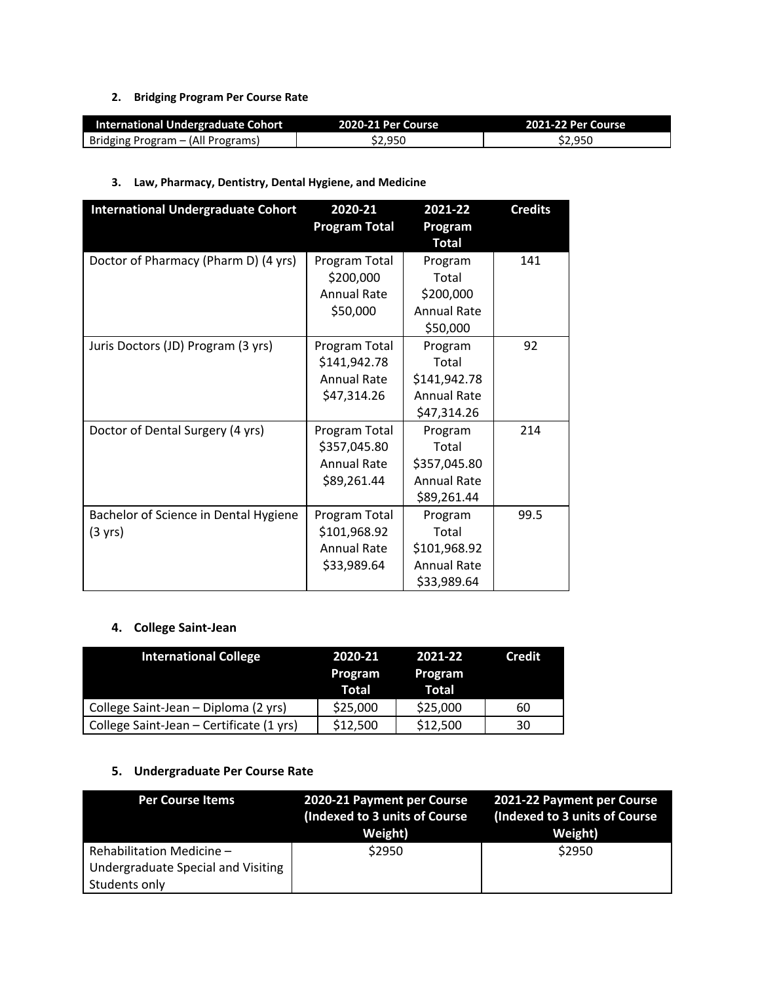# **2. Bridging Program Per Course Rate**

| International Undergraduate Cohort | 2020-21 Per Course | 2021-22 Per Course |
|------------------------------------|--------------------|--------------------|
| Bridging Program – (All Programs)  | S2.950             | S2.950             |

# **3. Law, Pharmacy, Dentistry, Dental Hygiene, and Medicine**

| <b>International Undergraduate Cohort</b> | 2020-21              | 2021-22            | <b>Credits</b> |
|-------------------------------------------|----------------------|--------------------|----------------|
|                                           | <b>Program Total</b> | Program            |                |
|                                           |                      | <b>Total</b>       |                |
| Doctor of Pharmacy (Pharm D) (4 yrs)      | Program Total        | Program            | 141            |
|                                           | \$200,000            | Total              |                |
|                                           | <b>Annual Rate</b>   | \$200,000          |                |
|                                           | \$50,000             | <b>Annual Rate</b> |                |
|                                           |                      | \$50,000           |                |
| Juris Doctors (JD) Program (3 yrs)        | Program Total        | Program            | 92             |
|                                           | \$141,942.78         | Total              |                |
|                                           | <b>Annual Rate</b>   | \$141,942.78       |                |
|                                           | \$47,314.26          | <b>Annual Rate</b> |                |
|                                           |                      | \$47,314.26        |                |
| Doctor of Dental Surgery (4 yrs)          | Program Total        | Program            | 214            |
|                                           | \$357,045.80         | Total              |                |
|                                           | <b>Annual Rate</b>   | \$357,045.80       |                |
|                                           | \$89,261.44          | <b>Annual Rate</b> |                |
|                                           |                      | \$89,261.44        |                |
| Bachelor of Science in Dental Hygiene     | Program Total        | Program            | 99.5           |
| $(3 \text{ yrs})$                         | \$101,968.92         | Total              |                |
|                                           | <b>Annual Rate</b>   | \$101,968.92       |                |
|                                           | \$33,989.64          | <b>Annual Rate</b> |                |
|                                           |                      | \$33,989.64        |                |

# **4. College Saint-Jean**

| <b>International College</b>             | 2020-21<br>Program<br>Total | 2021-22<br>Program<br><b>Total</b> | <b>Credit</b> |
|------------------------------------------|-----------------------------|------------------------------------|---------------|
| College Saint-Jean – Diploma (2 yrs)     | \$25,000                    | \$25,000                           | 60            |
| College Saint-Jean – Certificate (1 yrs) | \$12,500                    | \$12,500                           | 30            |

## **5. Undergraduate Per Course Rate**

| <b>Per Course Items</b>            | 2020-21 Payment per Course<br>(Indexed to 3 units of Course<br>Weight) | 2021-22 Payment per Course<br>(Indexed to 3 units of Course<br>Weight) |
|------------------------------------|------------------------------------------------------------------------|------------------------------------------------------------------------|
| Rehabilitation Medicine -          | \$2950                                                                 | \$2950                                                                 |
| Undergraduate Special and Visiting |                                                                        |                                                                        |
| Students only                      |                                                                        |                                                                        |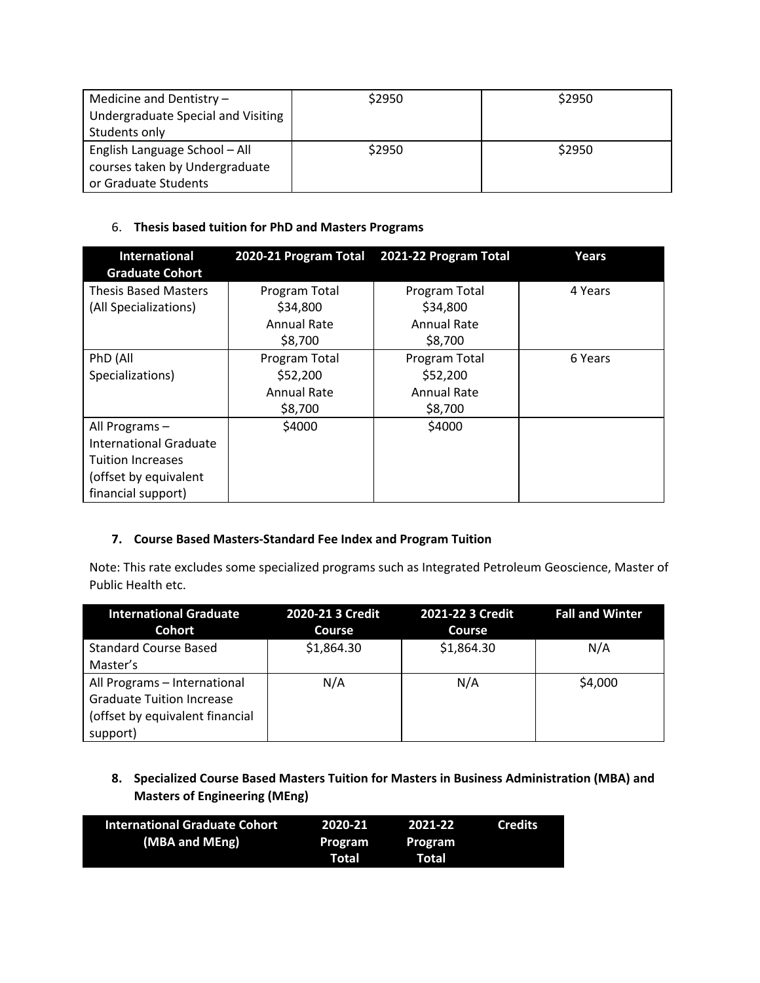| Medicine and Dentistry $-$         | \$2950 | \$2950 |
|------------------------------------|--------|--------|
| Undergraduate Special and Visiting |        |        |
| Students only                      |        |        |
| English Language School - All      | \$2950 | \$2950 |
| courses taken by Undergraduate     |        |        |
| or Graduate Students               |        |        |

# 6. **Thesis based tuition for PhD and Masters Programs**

| <b>International</b>        |                    | 2020-21 Program Total 2021-22 Program Total | Years   |
|-----------------------------|--------------------|---------------------------------------------|---------|
| <b>Graduate Cohort</b>      |                    |                                             |         |
| <b>Thesis Based Masters</b> | Program Total      | Program Total                               | 4 Years |
| (All Specializations)       | \$34,800           | \$34,800                                    |         |
|                             | Annual Rate        | Annual Rate                                 |         |
|                             | \$8,700            | \$8,700                                     |         |
| PhD (All                    | Program Total      | Program Total                               | 6 Years |
| Specializations)            | \$52,200           | \$52,200                                    |         |
|                             | <b>Annual Rate</b> | <b>Annual Rate</b>                          |         |
|                             | \$8,700            | \$8,700                                     |         |
| All Programs -              | \$4000             | \$4000                                      |         |
| International Graduate      |                    |                                             |         |
| <b>Tuition Increases</b>    |                    |                                             |         |
| (offset by equivalent       |                    |                                             |         |
| financial support)          |                    |                                             |         |

## **7. Course Based Masters-Standard Fee Index and Program Tuition**

Note: This rate excludes some specialized programs such as Integrated Petroleum Geoscience, Master of Public Health etc.

| <b>International Graduate</b>    | 2020-21 3 Credit | 2021-22 3 Credit | <b>Fall and Winter</b> |
|----------------------------------|------------------|------------------|------------------------|
| <b>Cohort</b>                    | <b>Course</b>    | Course           |                        |
| <b>Standard Course Based</b>     | \$1,864.30       | \$1,864.30       | N/A                    |
| Master's                         |                  |                  |                        |
| All Programs - International     | N/A              | N/A              | \$4,000                |
| <b>Graduate Tuition Increase</b> |                  |                  |                        |
| (offset by equivalent financial  |                  |                  |                        |
| support)                         |                  |                  |                        |

**8. Specialized Course Based Masters Tuition for Masters in Business Administration (MBA) and Masters of Engineering (MEng)**

| International Graduate Cohort | 2020-21 | 2021-22 | <b>Credits</b> |
|-------------------------------|---------|---------|----------------|
| (MBA and MEng)                | Program | Program |                |
|                               | Total   | Total   |                |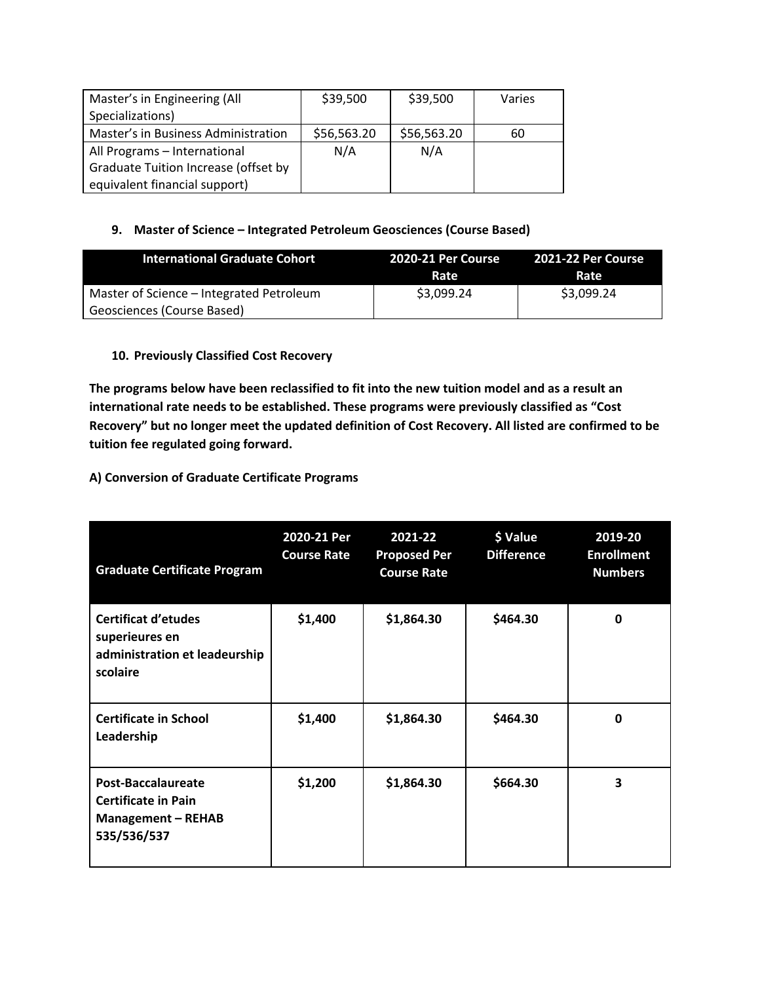| Master's in Engineering (All         | \$39,500    | \$39,500    | Varies |
|--------------------------------------|-------------|-------------|--------|
| Specializations)                     |             |             |        |
| Master's in Business Administration  | \$56,563.20 | \$56,563.20 | 60     |
| All Programs - International         | N/A         | N/A         |        |
| Graduate Tuition Increase (offset by |             |             |        |
| equivalent financial support)        |             |             |        |

## **9. Master of Science – Integrated Petroleum Geosciences (Course Based)**

| <b>International Graduate Cohort</b>                                   | 2020-21 Per Course<br>Rate | 2021-22 Per Course<br>Rate |
|------------------------------------------------------------------------|----------------------------|----------------------------|
| Master of Science – Integrated Petroleum<br>Geosciences (Course Based) | \$3,099.24                 | \$3,099.24                 |

# **10. Previously Classified Cost Recovery**

**The programs below have been reclassified to fit into the new tuition model and as a result an international rate needs to be established. These programs were previously classified as "Cost Recovery" but no longer meet the updated definition of Cost Recovery. All listed are confirmed to be tuition fee regulated going forward.**

# **A) Conversion of Graduate Certificate Programs**

| <b>Graduate Certificate Program</b>                                                                 | 2020-21 Per<br><b>Course Rate</b> | 2021-22<br><b>Proposed Per</b><br><b>Course Rate</b> | \$ Value<br><b>Difference</b> | 2019-20<br><b>Enrollment</b><br><b>Numbers</b> |
|-----------------------------------------------------------------------------------------------------|-----------------------------------|------------------------------------------------------|-------------------------------|------------------------------------------------|
| <b>Certificat d'etudes</b><br>superieures en<br>administration et leadeurship<br>scolaire           | \$1,400                           | \$1,864.30                                           | \$464.30                      | 0                                              |
| <b>Certificate in School</b><br>Leadership                                                          | \$1,400                           | \$1,864.30                                           | \$464.30                      | <sup>0</sup>                                   |
| <b>Post-Baccalaureate</b><br><b>Certificate in Pain</b><br><b>Management - REHAB</b><br>535/536/537 | \$1,200                           | \$1,864.30                                           | \$664.30                      | 3                                              |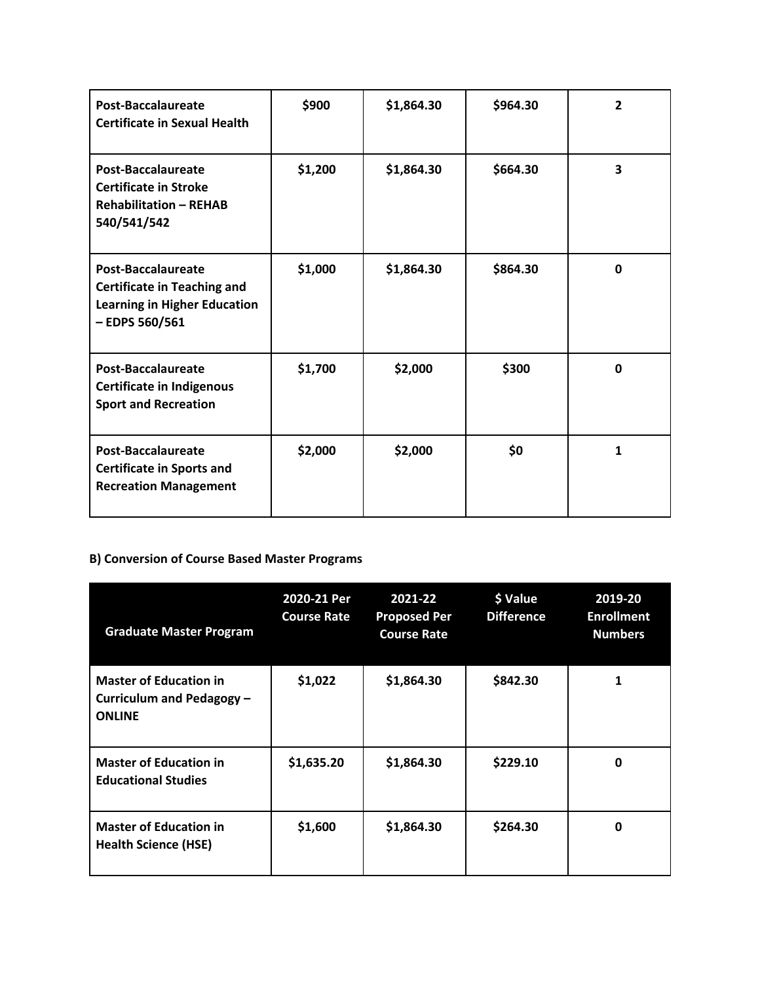| <b>Post-Baccalaureate</b><br><b>Certificate in Sexual Health</b>                                                           | \$900   | \$1,864.30 | \$964.30 | $\overline{2}$ |
|----------------------------------------------------------------------------------------------------------------------------|---------|------------|----------|----------------|
| <b>Post-Baccalaureate</b><br><b>Certificate in Stroke</b><br><b>Rehabilitation - REHAB</b><br>540/541/542                  | \$1,200 | \$1,864.30 | \$664.30 | 3              |
| <b>Post-Baccalaureate</b><br><b>Certificate in Teaching and</b><br><b>Learning in Higher Education</b><br>$-$ EDPS 560/561 | \$1,000 | \$1,864.30 | \$864.30 | $\mathbf{0}$   |
| <b>Post-Baccalaureate</b><br><b>Certificate in Indigenous</b><br><b>Sport and Recreation</b>                               | \$1,700 | \$2,000    | \$300    | $\Omega$       |
| <b>Post-Baccalaureate</b><br><b>Certificate in Sports and</b><br><b>Recreation Management</b>                              | \$2,000 | \$2,000    | \$0      | 1              |

# **B) Conversion of Course Based Master Programs**

| <b>Graduate Master Program</b>                                              | 2020-21 Per<br><b>Course Rate</b> | 2021-22<br><b>Proposed Per</b><br><b>Course Rate</b> | \$ Value<br><b>Difference</b> | 2019-20<br><b>Enrollment</b><br><b>Numbers</b> |
|-----------------------------------------------------------------------------|-----------------------------------|------------------------------------------------------|-------------------------------|------------------------------------------------|
| <b>Master of Education in</b><br>Curriculum and Pedagogy -<br><b>ONLINE</b> | \$1,022                           | \$1,864.30                                           | \$842.30                      |                                                |
| <b>Master of Education in</b><br><b>Educational Studies</b>                 | \$1,635.20                        | \$1,864.30                                           | \$229.10                      | 0                                              |
| <b>Master of Education in</b><br><b>Health Science (HSE)</b>                | \$1,600                           | \$1,864.30                                           | \$264.30                      | 0                                              |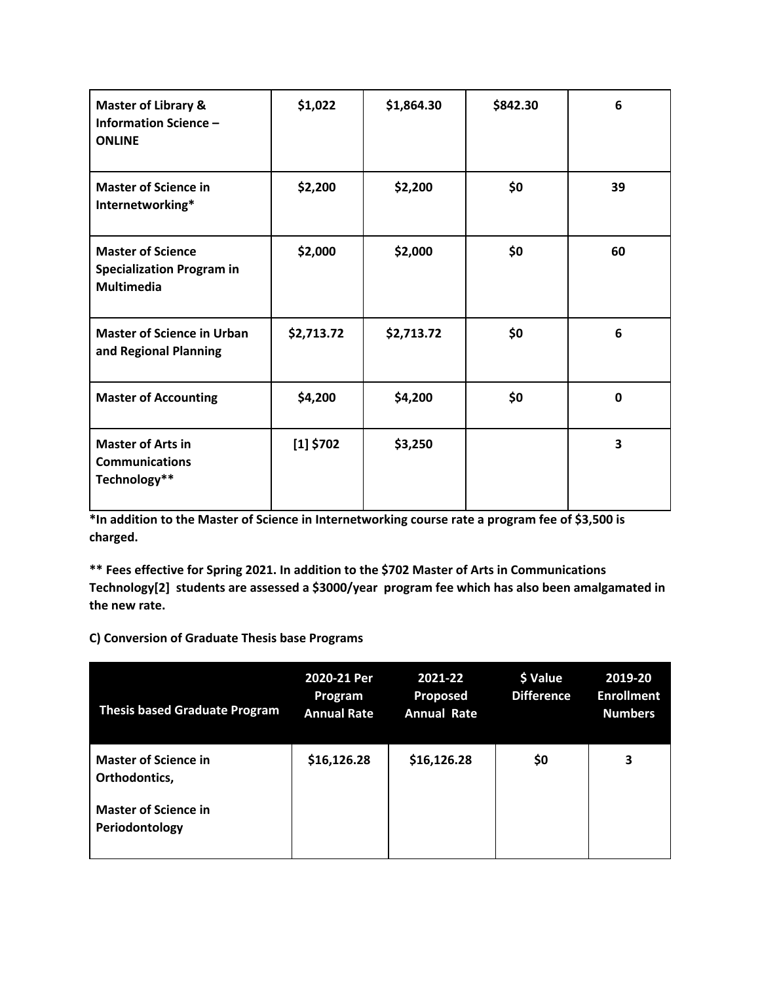| <b>Master of Library &amp;</b><br><b>Information Science -</b><br><b>ONLINE</b>   | \$1,022     | \$1,864.30 | \$842.30 | 6            |
|-----------------------------------------------------------------------------------|-------------|------------|----------|--------------|
| <b>Master of Science in</b><br>Internetworking*                                   | \$2,200     | \$2,200    | \$0      | 39           |
| <b>Master of Science</b><br><b>Specialization Program in</b><br><b>Multimedia</b> | \$2,000     | \$2,000    | \$0      | 60           |
| <b>Master of Science in Urban</b><br>and Regional Planning                        | \$2,713.72  | \$2,713.72 | \$0      | 6            |
| <b>Master of Accounting</b>                                                       | \$4,200     | \$4,200    | \$0      | $\mathbf{0}$ |
| <b>Master of Arts in</b><br><b>Communications</b><br>Technology**                 | $[1]$ \$702 | \$3,250    |          | 3            |

**\*In addition to the Master of Science in Internetworking course rate a program fee of \$3,500 is charged.**

**\*\* Fees effective for Spring 2021. In addition to the \$702 Master of Arts in Communications Technology[2] students are assessed a \$3000/year program fee which has also been amalgamated in the new rate.**

**C) Conversion of Graduate Thesis base Programs**

| <b>Thesis based Graduate Program</b>          | 2020-21 Per<br>Program<br><b>Annual Rate</b> | 2021-22<br>Proposed<br><b>Annual Rate</b> | \$ Value<br><b>Difference</b> | 2019-20<br><b>Enrollment</b><br><b>Numbers</b> |
|-----------------------------------------------|----------------------------------------------|-------------------------------------------|-------------------------------|------------------------------------------------|
| <b>Master of Science in</b><br>Orthodontics,  | \$16,126.28                                  | \$16,126.28                               | \$0                           | 3                                              |
| <b>Master of Science in</b><br>Periodontology |                                              |                                           |                               |                                                |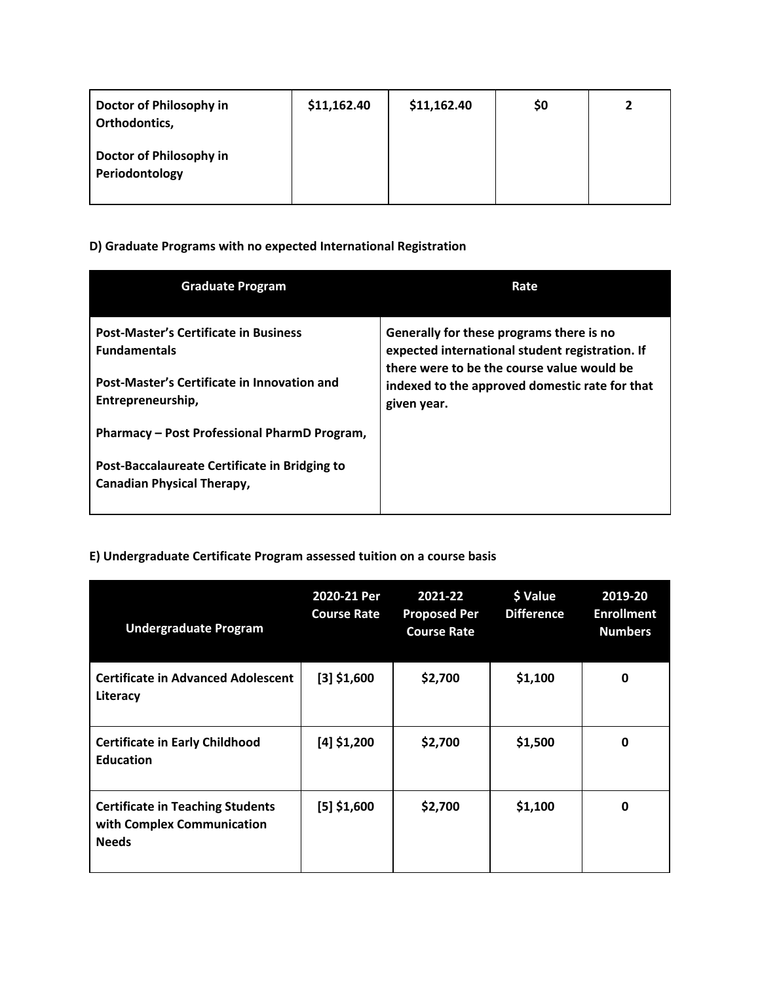| Doctor of Philosophy in<br>Orthodontics,  | \$11,162.40 | \$11,162.40 | \$0 |  |
|-------------------------------------------|-------------|-------------|-----|--|
| Doctor of Philosophy in<br>Periodontology |             |             |     |  |

# **D) Graduate Programs with no expected International Registration**

| <b>Graduate Program</b>                                                            | Rate                                                                                                                                      |
|------------------------------------------------------------------------------------|-------------------------------------------------------------------------------------------------------------------------------------------|
| <b>Post-Master's Certificate in Business</b><br><b>Fundamentals</b>                | Generally for these programs there is no<br>expected international student registration. If<br>there were to be the course value would be |
| Post-Master's Certificate in Innovation and<br>Entrepreneurship,                   | indexed to the approved domestic rate for that<br>given year.                                                                             |
| Pharmacy – Post Professional PharmD Program,                                       |                                                                                                                                           |
| Post-Baccalaureate Certificate in Bridging to<br><b>Canadian Physical Therapy,</b> |                                                                                                                                           |

# **E) Undergraduate Certificate Program assessed tuition on a course basis**

| <b>Undergraduate Program</b>                                                          | 2020-21 Per<br><b>Course Rate</b> | 2021-22<br><b>Proposed Per</b><br><b>Course Rate</b> | \$ Value<br><b>Difference</b> | 2019-20<br><b>Enrollment</b><br><b>Numbers</b> |
|---------------------------------------------------------------------------------------|-----------------------------------|------------------------------------------------------|-------------------------------|------------------------------------------------|
| <b>Certificate in Advanced Adolescent</b><br>Literacy                                 | $[3]$ \$1,600                     | \$2,700                                              | \$1,100                       | O                                              |
| <b>Certificate in Early Childhood</b><br><b>Education</b>                             | $[4]$ \$1,200                     | \$2,700                                              | \$1,500                       | 0                                              |
| <b>Certificate in Teaching Students</b><br>with Complex Communication<br><b>Needs</b> | $[5]$ \$1,600                     | \$2,700                                              | \$1,100                       | 0                                              |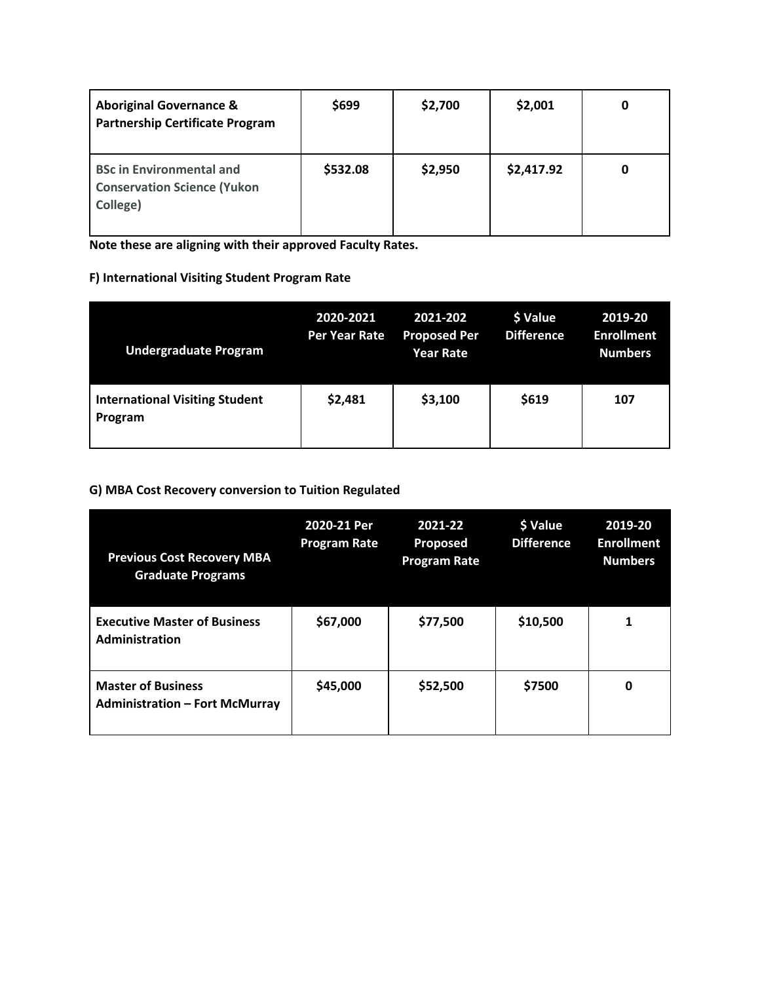| <b>Aboriginal Governance &amp;</b><br><b>Partnership Certificate Program</b>      | \$699    | \$2,700 | \$2,001    | 0 |
|-----------------------------------------------------------------------------------|----------|---------|------------|---|
| <b>BSc in Environmental and</b><br><b>Conservation Science (Yukon</b><br>College) | \$532.08 | \$2,950 | \$2,417.92 | 0 |

**Note these are aligning with their approved Faculty Rates.**

# **F) International Visiting Student Program Rate**

| <b>Undergraduate Program</b>                     | 2020-2021<br>Per Year Rate | 2021-202<br><b>Proposed Per</b><br>Year Rate | \$ Value<br><b>Difference</b> | 2019-20<br><b>Enrollment</b><br><b>Numbers</b> |
|--------------------------------------------------|----------------------------|----------------------------------------------|-------------------------------|------------------------------------------------|
| <b>International Visiting Student</b><br>Program | \$2,481                    | \$3,100                                      | \$619                         | 107                                            |

# **G) MBA Cost Recovery conversion to Tuition Regulated**

| <b>Previous Cost Recovery MBA</b><br><b>Graduate Programs</b>      | 2020-21 Per<br><b>Program Rate</b> | 2021-22<br>Proposed<br><b>Program Rate</b> | \$ Value<br><b>Difference</b> | 2019-20<br><b>Enrollment</b><br><b>Numbers</b> |
|--------------------------------------------------------------------|------------------------------------|--------------------------------------------|-------------------------------|------------------------------------------------|
| <b>Executive Master of Business</b><br>Administration              | \$67,000                           | \$77,500                                   | \$10,500                      | 1                                              |
| <b>Master of Business</b><br><b>Administration - Fort McMurray</b> | \$45,000                           | \$52,500                                   | \$7500                        | 0                                              |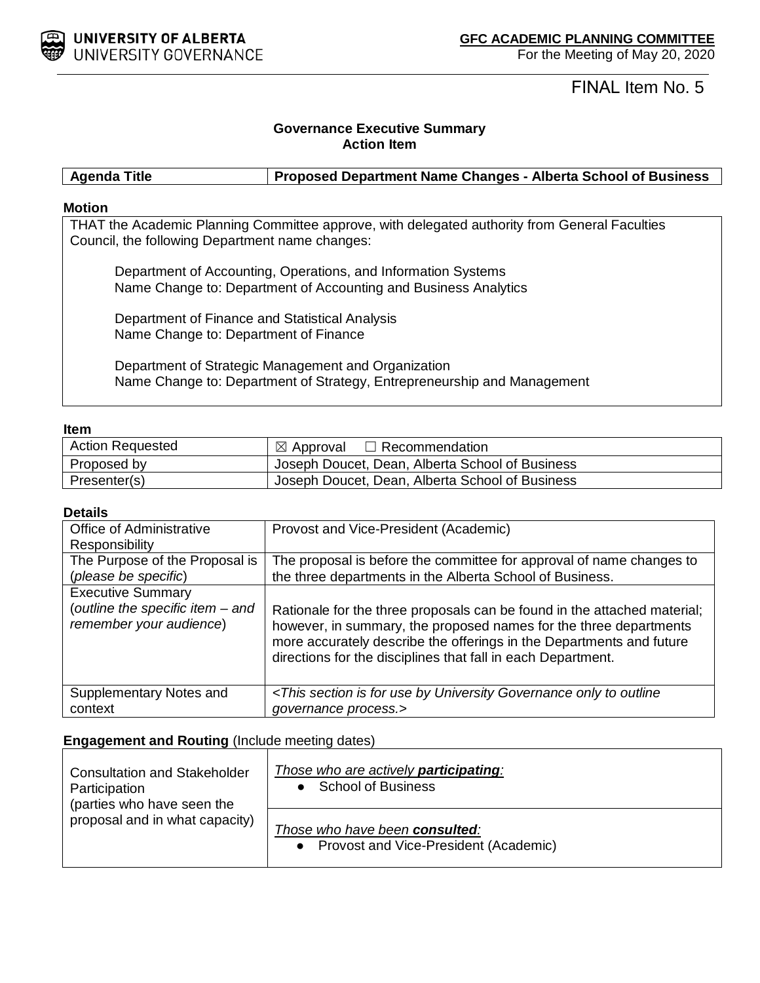

# FINAL Item No. 5

## **Governance Executive Summary Action Item**

**Agenda Title Proposed Department Name Changes - Alberta School of Business** 

#### **Motion**

THAT the Academic Planning Committee approve, with delegated authority from General Faculties Council, the following Department name changes:

Department of Accounting, Operations, and Information Systems Name Change to: Department of Accounting and Business Analytics

Department of Finance and Statistical Analysis Name Change to: Department of Finance

Department of Strategic Management and Organization Name Change to: Department of Strategy, Entrepreneurship and Management

### **Item**

| <b>Action Requested</b> | $\Box$ Recommendation<br>⊠ Approval             |
|-------------------------|-------------------------------------------------|
| Proposed by             | Joseph Doucet, Dean, Alberta School of Business |
| Presenter(s)            | Joseph Doucet, Dean, Alberta School of Business |

## **Details**

| <b>Office of Administrative</b><br>Responsibility                                       | Provost and Vice-President (Academic)                                                                                                                                                                                                                                                 |
|-----------------------------------------------------------------------------------------|---------------------------------------------------------------------------------------------------------------------------------------------------------------------------------------------------------------------------------------------------------------------------------------|
| The Purpose of the Proposal is                                                          | The proposal is before the committee for approval of name changes to                                                                                                                                                                                                                  |
| (please be specific)                                                                    | the three departments in the Alberta School of Business.                                                                                                                                                                                                                              |
| <b>Executive Summary</b><br>(outline the specific item – and<br>remember your audience) | Rationale for the three proposals can be found in the attached material;<br>however, in summary, the proposed names for the three departments<br>more accurately describe the offerings in the Departments and future<br>directions for the disciplines that fall in each Department. |
| Supplementary Notes and                                                                 | <this by="" for="" governance="" is="" only="" outline<="" section="" td="" to="" university="" use=""></this>                                                                                                                                                                        |
| context                                                                                 | governance process.>                                                                                                                                                                                                                                                                  |

## **Engagement and Routing** (Include meeting dates)

| <b>Consultation and Stakeholder</b><br>Participation<br>(parties who have seen the<br>proposal and in what capacity) | Those who are actively participating:<br><b>School of Business</b>        |  |
|----------------------------------------------------------------------------------------------------------------------|---------------------------------------------------------------------------|--|
|                                                                                                                      | Those who have been consulted:<br>• Provost and Vice-President (Academic) |  |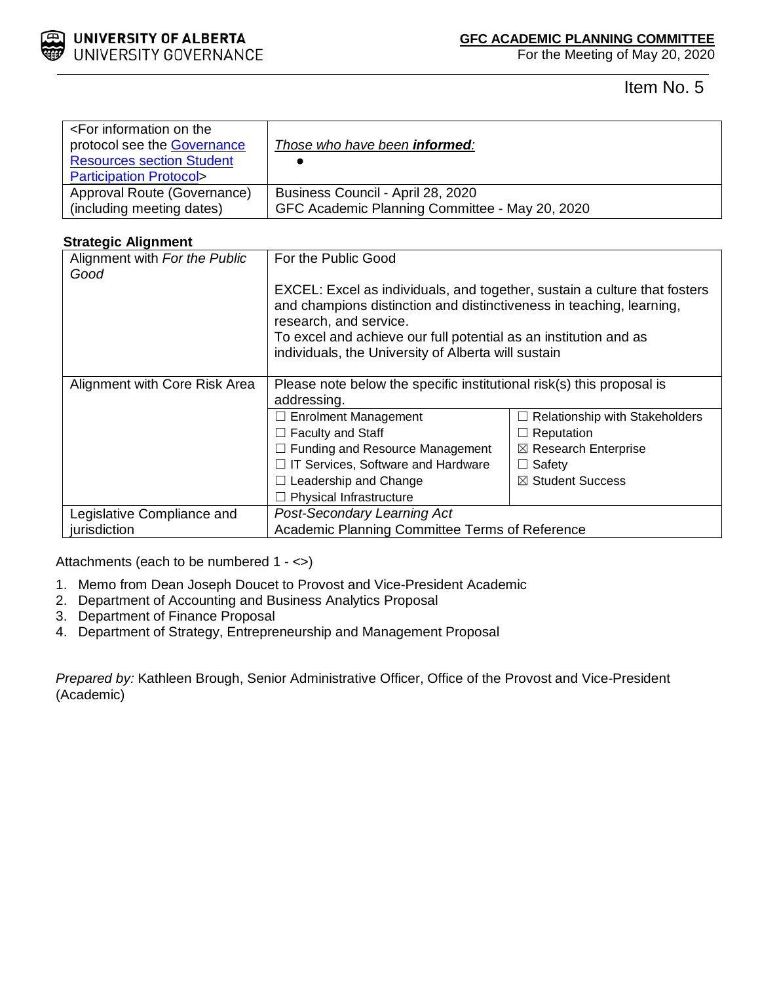

For the Meeting of May 20, 2020

Item No. 5

| <for information="" on="" the<br="">protocol see the Governance<br/><b>Resources section Student</b><br/><b>Participation Protocol&gt;</b></for> | Those who have been <b>informed</b> :<br>c     |
|--------------------------------------------------------------------------------------------------------------------------------------------------|------------------------------------------------|
| Approval Route (Governance)                                                                                                                      | Business Council - April 28, 2020              |
| (including meeting dates)                                                                                                                        | GFC Academic Planning Committee - May 20, 2020 |

## **Strategic Alignment**

| Alignment with For the Public<br>Good | For the Public Good                                                                                                                                                                                                                                                                                    |                                       |  |
|---------------------------------------|--------------------------------------------------------------------------------------------------------------------------------------------------------------------------------------------------------------------------------------------------------------------------------------------------------|---------------------------------------|--|
|                                       | EXCEL: Excel as individuals, and together, sustain a culture that fosters<br>and champions distinction and distinctiveness in teaching, learning,<br>research, and service.<br>To excel and achieve our full potential as an institution and as<br>individuals, the University of Alberta will sustain |                                       |  |
| Alignment with Core Risk Area         | Please note below the specific institutional risk(s) this proposal is                                                                                                                                                                                                                                  |                                       |  |
|                                       | addressing.                                                                                                                                                                                                                                                                                            |                                       |  |
|                                       | $\Box$ Enrolment Management                                                                                                                                                                                                                                                                            | $\Box$ Relationship with Stakeholders |  |
|                                       | $\Box$ Faculty and Staff                                                                                                                                                                                                                                                                               | $\Box$ Reputation                     |  |
|                                       | $\Box$ Funding and Resource Management                                                                                                                                                                                                                                                                 | $\boxtimes$ Research Enterprise       |  |
|                                       | $\Box$ IT Services, Software and Hardware                                                                                                                                                                                                                                                              | $\Box$ Safety                         |  |
|                                       | Leadership and Change                                                                                                                                                                                                                                                                                  | $\boxtimes$ Student Success           |  |
|                                       | $\Box$ Physical Infrastructure                                                                                                                                                                                                                                                                         |                                       |  |
| Legislative Compliance and            | Post-Secondary Learning Act                                                                                                                                                                                                                                                                            |                                       |  |
| jurisdiction                          | Academic Planning Committee Terms of Reference                                                                                                                                                                                                                                                         |                                       |  |

Attachments (each to be numbered 1 - <>)

- 1. Memo from Dean Joseph Doucet to Provost and Vice-President Academic
- 2. Department of Accounting and Business Analytics Proposal
- 3. Department of Finance Proposal
- 4. Department of Strategy, Entrepreneurship and Management Proposal

*Prepared by:* Kathleen Brough, Senior Administrative Officer, Office of the Provost and Vice-President (Academic)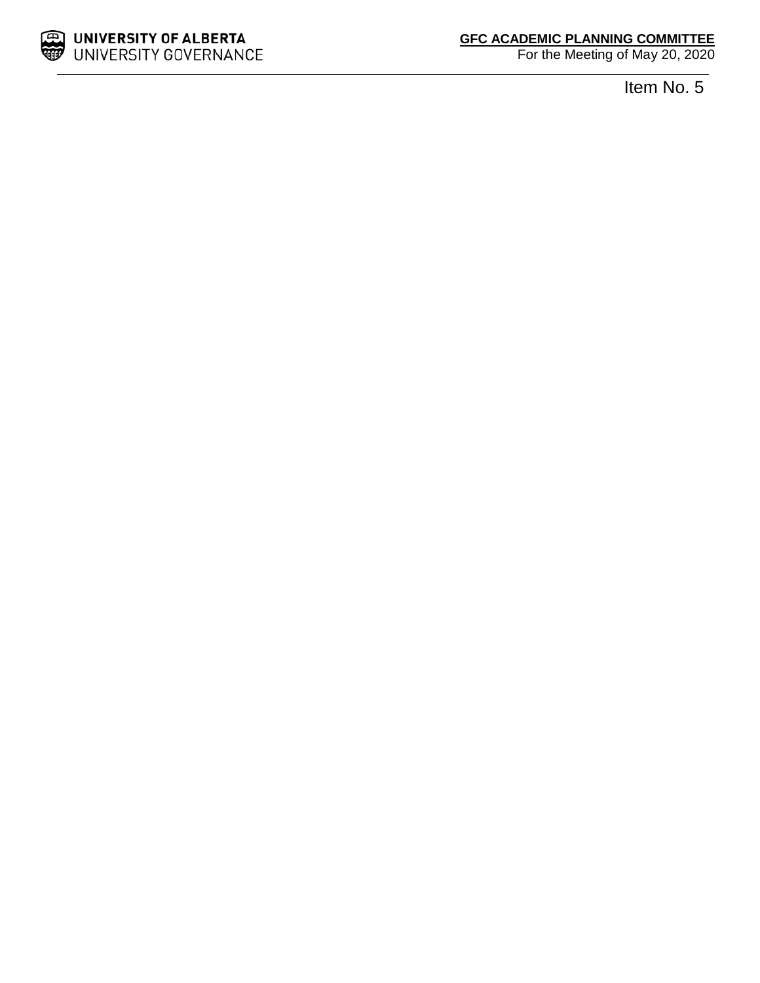

## **GFC ACADEMIC PLANNING COMMITTEE**

For the Meeting of May 20, 2020

Item No. 5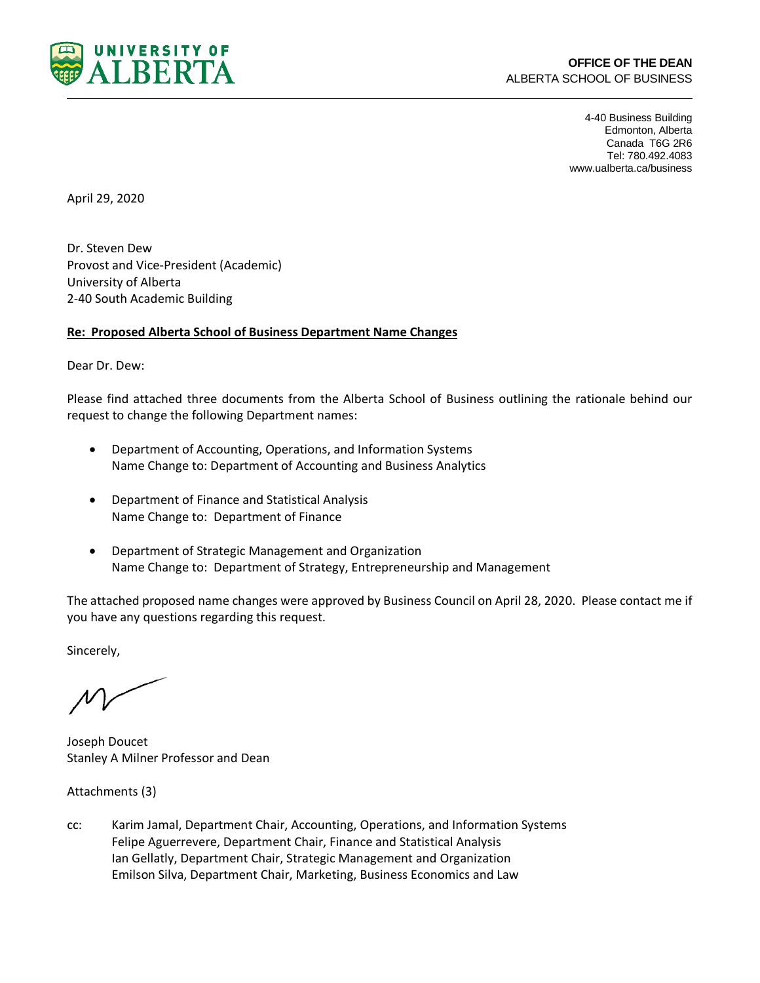

4-40 Business Building Edmonton, Alberta Canada T6G 2R6 Tel: 780.492.4083 www.ualberta.ca/business

April 29, 2020

Dr. Steven Dew Provost and Vice-President (Academic) University of Alberta 2-40 South Academic Building

#### **Re: Proposed Alberta School of Business Department Name Changes**

Dear Dr. Dew:

Please find attached three documents from the Alberta School of Business outlining the rationale behind our request to change the following Department names:

- Department of Accounting, Operations, and Information Systems Name Change to: Department of Accounting and Business Analytics
- Department of Finance and Statistical Analysis Name Change to: Department of Finance
- Department of Strategic Management and Organization Name Change to: Department of Strategy, Entrepreneurship and Management

The attached proposed name changes were approved by Business Council on April 28, 2020. Please contact me if you have any questions regarding this request.

Sincerely,

Joseph Doucet Stanley A Milner Professor and Dean

Attachments (3)

cc: Karim Jamal, Department Chair, Accounting, Operations, and Information Systems Felipe Aguerrevere, Department Chair, Finance and Statistical Analysis Ian Gellatly, Department Chair, Strategic Management and Organization Emilson Silva, Department Chair, Marketing, Business Economics and Law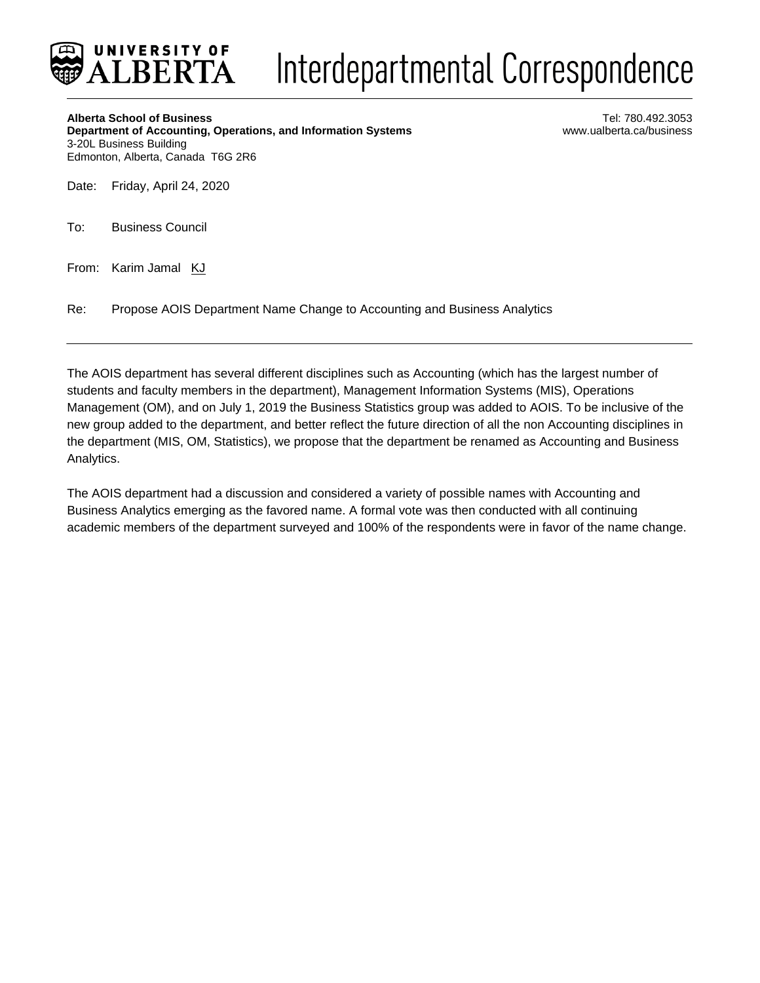

# Interdepartmental Correspondence

**Alberta School of Business Department of Accounting, Operations, and Information Systems** 3-20L Business Building Edmonton, Alberta, Canada T6G 2R6

Tel: 780.492.3053 www.ualberta.ca/business

Date: Friday, April 24, 2020

To: Business Council

From: Karim Jamal KJ

Re: Propose AOIS Department Name Change to Accounting and Business Analytics

The AOIS department has several different disciplines such as Accounting (which has the largest number of students and faculty members in the department), Management Information Systems (MIS), Operations Management (OM), and on July 1, 2019 the Business Statistics group was added to AOIS. To be inclusive of the new group added to the department, and better reflect the future direction of all the non Accounting disciplines in the department (MIS, OM, Statistics), we propose that the department be renamed as Accounting and Business Analytics.

The AOIS department had a discussion and considered a variety of possible names with Accounting and Business Analytics emerging as the favored name. A formal vote was then conducted with all continuing academic members of the department surveyed and 100% of the respondents were in favor of the name change.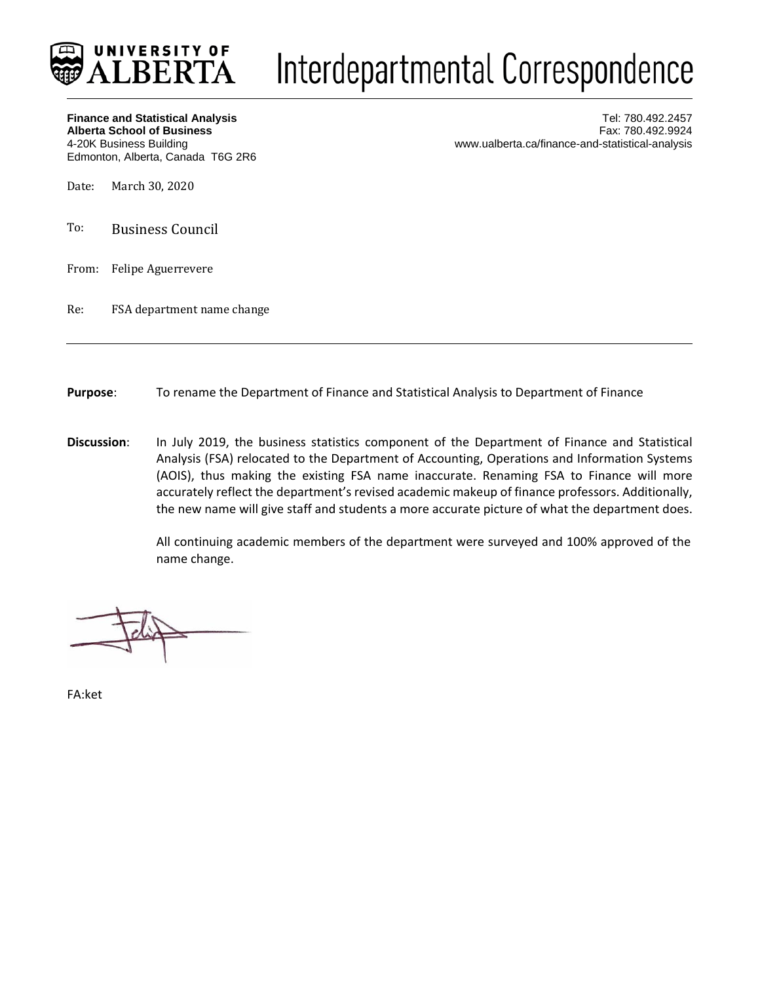

# Interdepartmental Correspondence

**Finance and Statistical Analysis Alberta School of Business** 4-20K Business Building Edmonton, Alberta, Canada T6G 2R6

Tel: 780.492.2457 Fax: 780.492.9924 www.ualberta.ca/finance-and-statistical-analysis

Date: March 30, 2020

To: Business Council

- From: Felipe Aguerrevere
- Re: FSA department name change

**Purpose**: To rename the Department of Finance and Statistical Analysis to Department of Finance

**Discussion**: In July 2019, the business statistics component of the Department of Finance and Statistical Analysis (FSA) relocated to the Department of Accounting, Operations and Information Systems (AOIS), thus making the existing FSA name inaccurate. Renaming FSA to Finance will more accurately reflect the department's revised academic makeup of finance professors. Additionally, the new name will give staff and students a more accurate picture of what the department does.

> All continuing academic members of the department were surveyed and 100% approved of the name change.

FA:ket